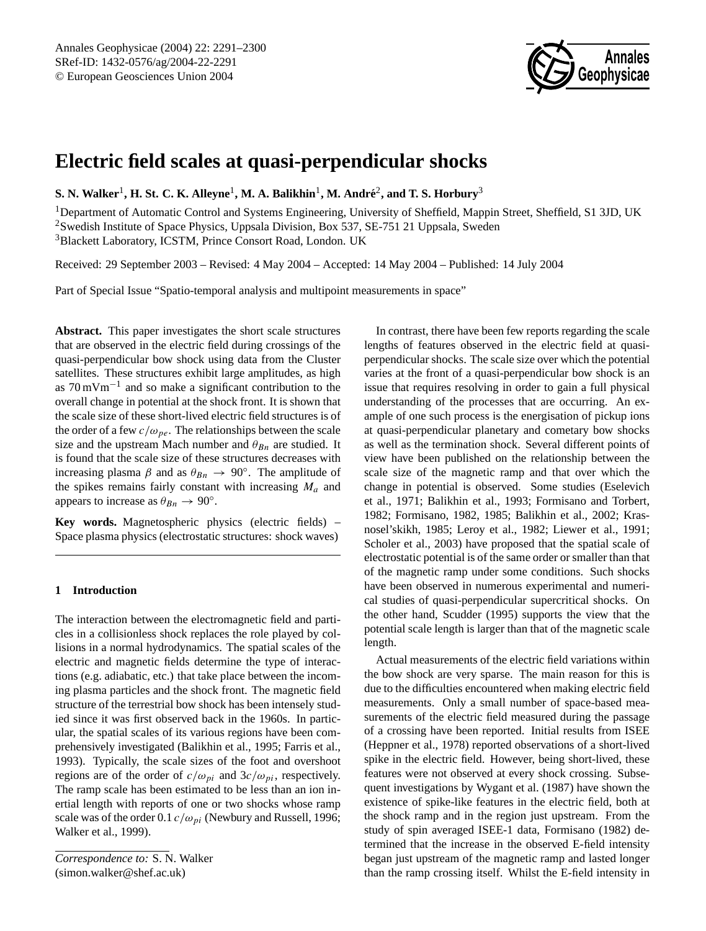

# **Electric field scales at quasi-perpendicular shocks**

 ${\bf S.}$  N. Walker<sup>1</sup>, H. St. C. K. Alleyne<sup>1</sup>, M. A. Balikhin<sup>1</sup>, M. André<sup>2</sup>, and T. S. Horbury<sup>3</sup>

<sup>1</sup>Department of Automatic Control and Systems Engineering, University of Sheffield, Mappin Street, Sheffield, S1 3JD, UK <sup>2</sup>Swedish Institute of Space Physics, Uppsala Division, Box 537, SE-751 21 Uppsala, Sweden <sup>3</sup>Blackett Laboratory, ICSTM, Prince Consort Road, London. UK

Received: 29 September 2003 – Revised: 4 May 2004 – Accepted: 14 May 2004 – Published: 14 July 2004

Part of Special Issue "Spatio-temporal analysis and multipoint measurements in space"

**Abstract.** This paper investigates the short scale structures that are observed in the electric field during crossings of the quasi-perpendicular bow shock using data from the Cluster satellites. These structures exhibit large amplitudes, as high as 70 mVm−<sup>1</sup> and so make a significant contribution to the overall change in potential at the shock front. It is shown that the scale size of these short-lived electric field structures is of the order of a few  $c/\omega_{pe}$ . The relationships between the scale size and the upstream Mach number and  $\theta_{Bn}$  are studied. It is found that the scale size of these structures decreases with increasing plasma  $\beta$  and as  $\theta_{Bn} \rightarrow 90^\circ$ . The amplitude of the spikes remains fairly constant with increasing  $M_a$  and appears to increase as  $\theta_{Bn} \to 90^{\circ}$ .

**Key words.** Magnetospheric physics (electric fields) – Space plasma physics (electrostatic structures: shock waves)

## **1 Introduction**

The interaction between the electromagnetic field and particles in a collisionless shock replaces the role played by collisions in a normal hydrodynamics. The spatial scales of the electric and magnetic fields determine the type of interactions (e.g. adiabatic, etc.) that take place between the incoming plasma particles and the shock front. The magnetic field structure of the terrestrial bow shock has been intensely studied since it was first observed back in the 1960s. In particular, the spatial scales of its various regions have been comprehensively investigated (Balikhin et al., 1995; Farris et al., 1993). Typically, the scale sizes of the foot and overshoot regions are of the order of  $c/\omega_{pi}$  and  $3c/\omega_{pi}$ , respectively. The ramp scale has been estimated to be less than an ion inertial length with reports of one or two shocks whose ramp scale was of the order 0.1  $c/\omega_{pi}$  (Newbury and Russell, 1996; Walker et al., 1999).

*Correspondence to:* S. N. Walker (simon.walker@shef.ac.uk)

In contrast, there have been few reports regarding the scale lengths of features observed in the electric field at quasiperpendicular shocks. The scale size over which the potential varies at the front of a quasi-perpendicular bow shock is an issue that requires resolving in order to gain a full physical understanding of the processes that are occurring. An example of one such process is the energisation of pickup ions at quasi-perpendicular planetary and cometary bow shocks as well as the termination shock. Several different points of view have been published on the relationship between the scale size of the magnetic ramp and that over which the change in potential is observed. Some studies (Eselevich et al., 1971; Balikhin et al., 1993; Formisano and Torbert, 1982; Formisano, 1982, 1985; Balikhin et al., 2002; Krasnosel'skikh, 1985; Leroy et al., 1982; Liewer et al., 1991; Scholer et al., 2003) have proposed that the spatial scale of electrostatic potential is of the same order or smaller than that of the magnetic ramp under some conditions. Such shocks have been observed in numerous experimental and numerical studies of quasi-perpendicular supercritical shocks. On the other hand, Scudder (1995) supports the view that the potential scale length is larger than that of the magnetic scale length.

Actual measurements of the electric field variations within the bow shock are very sparse. The main reason for this is due to the difficulties encountered when making electric field measurements. Only a small number of space-based measurements of the electric field measured during the passage of a crossing have been reported. Initial results from ISEE (Heppner et al., 1978) reported observations of a short-lived spike in the electric field. However, being short-lived, these features were not observed at every shock crossing. Subsequent investigations by Wygant et al. (1987) have shown the existence of spike-like features in the electric field, both at the shock ramp and in the region just upstream. From the study of spin averaged ISEE-1 data, Formisano (1982) determined that the increase in the observed E-field intensity began just upstream of the magnetic ramp and lasted longer than the ramp crossing itself. Whilst the E-field intensity in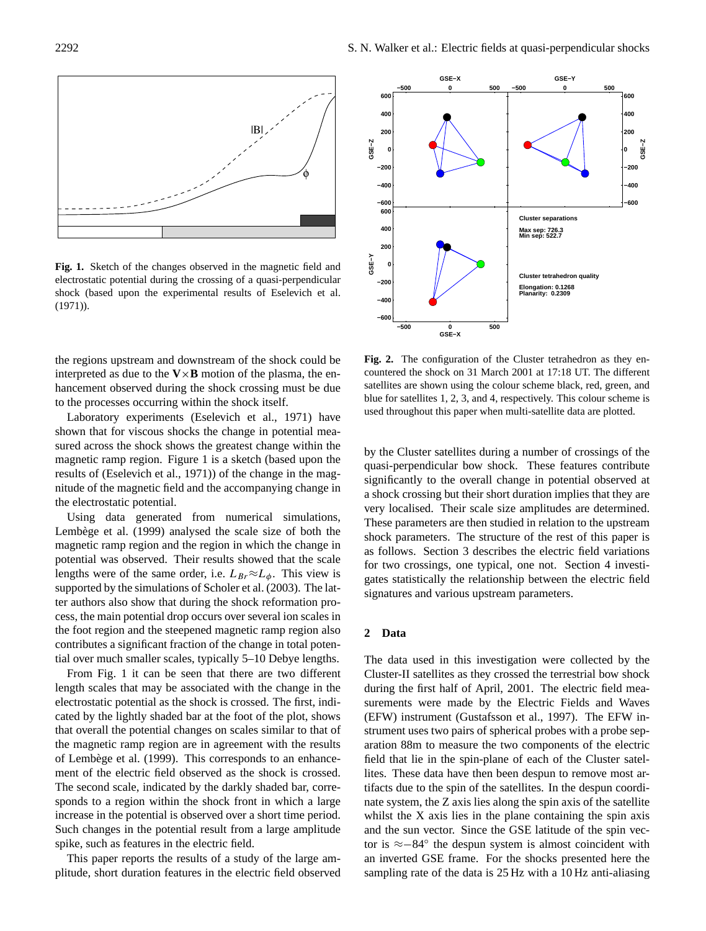

**Fig. 1.** Sketch of the changes observed in the magnetic field and electrostatic potential during the crossing of a quasi-perpendicular shock (based upon the experimental results of Eselevich et al. (1971)).

the regions upstream and downstream of the shock could be interpreted as due to the  $V \times B$  motion of the plasma, the enhancement observed during the shock crossing must be due to the processes occurring within the shock itself.

Laboratory experiments (Eselevich et al., 1971) have shown that for viscous shocks the change in potential measured across the shock shows the greatest change within the magnetic ramp region. Figure 1 is a sketch (based upon the results of (Eselevich et al., 1971)) of the change in the magnitude of the magnetic field and the accompanying change in the electrostatic potential.

Using data generated from numerical simulations, Lembège et al. (1999) analysed the scale size of both the magnetic ramp region and the region in which the change in potential was observed. Their results showed that the scale lengths were of the same order, i.e.  $L_{Br} \approx L_{\phi}$ . This view is supported by the simulations of Scholer et al. (2003). The latter authors also show that during the shock reformation process, the main potential drop occurs over several ion scales in the foot region and the steepened magnetic ramp region also contributes a significant fraction of the change in total potential over much smaller scales, typically 5–10 Debye lengths.

From Fig. 1 it can be seen that there are two different length scales that may be associated with the change in the electrostatic potential as the shock is crossed. The first, indicated by the lightly shaded bar at the foot of the plot, shows that overall the potential changes on scales similar to that of the magnetic ramp region are in agreement with the results of Lembège et al. (1999). This corresponds to an enhancement of the electric field observed as the shock is crossed. The second scale, indicated by the darkly shaded bar, corresponds to a region within the shock front in which a large increase in the potential is observed over a short time period. Such changes in the potential result from a large amplitude spike, such as features in the electric field.

This paper reports the results of a study of the large amplitude, short duration features in the electric field observed

![](_page_1_Figure_8.jpeg)

**Fig. 2.** The configuration of the Cluster tetrahedron as they encountered the shock on 31 March 2001 at 17:18 UT. The different satellites are shown using the colour scheme black, red, green, and blue for satellites 1, 2, 3, and 4, respectively. This colour scheme is used throughout this paper when multi-satellite data are plotted.

by the Cluster satellites during a number of crossings of the quasi-perpendicular bow shock. These features contribute significantly to the overall change in potential observed at a shock crossing but their short duration implies that they are very localised. Their scale size amplitudes are determined. These parameters are then studied in relation to the upstream shock parameters. The structure of the rest of this paper is as follows. Section 3 describes the electric field variations for two crossings, one typical, one not. Section 4 investigates statistically the relationship between the electric field signatures and various upstream parameters.

## **2 Data**

The data used in this investigation were collected by the Cluster-II satellites as they crossed the terrestrial bow shock during the first half of April, 2001. The electric field measurements were made by the Electric Fields and Waves (EFW) instrument (Gustafsson et al., 1997). The EFW instrument uses two pairs of spherical probes with a probe separation 88m to measure the two components of the electric field that lie in the spin-plane of each of the Cluster satellites. These data have then been despun to remove most artifacts due to the spin of the satellites. In the despun coordinate system, the Z axis lies along the spin axis of the satellite whilst the X axis lies in the plane containing the spin axis and the sun vector. Since the GSE latitude of the spin vector is ≈−84◦ the despun system is almost coincident with an inverted GSE frame. For the shocks presented here the sampling rate of the data is 25 Hz with a 10 Hz anti-aliasing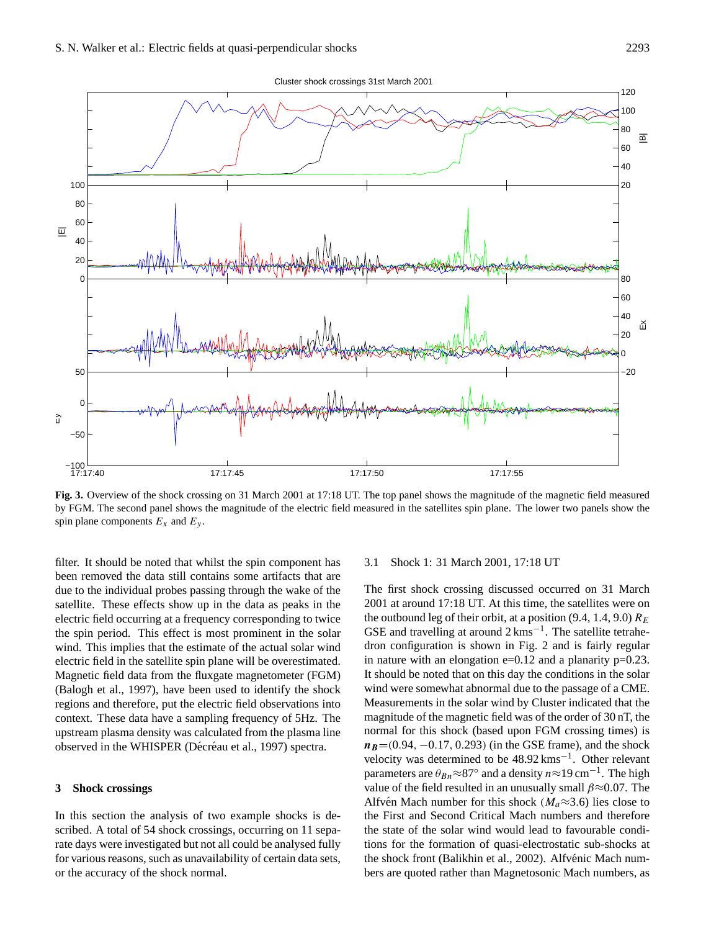![](_page_2_Figure_1.jpeg)

**Fig. 3.** Overview of the shock crossing on 31 March 2001 at 17:18 UT. The top panel shows the magnitude of the magnetic field measured by FGM. The second panel shows the magnitude of the electric field measured in the satellites spin plane. The lower two panels show the spin plane components  $E_x$  and  $E_y$ .

filter. It should be noted that whilst the spin component has been removed the data still contains some artifacts that are due to the individual probes passing through the wake of the satellite. These effects show up in the data as peaks in the electric field occurring at a frequency corresponding to twice the spin period. This effect is most prominent in the solar wind. This implies that the estimate of the actual solar wind electric field in the satellite spin plane will be overestimated. Magnetic field data from the fluxgate magnetometer (FGM) (Balogh et al., 1997), have been used to identify the shock regions and therefore, put the electric field observations into context. These data have a sampling frequency of 5Hz. The upstream plasma density was calculated from the plasma line observed in the WHISPER (Décréau et al., 1997) spectra.

## **3 Shock crossings**

In this section the analysis of two example shocks is described. A total of 54 shock crossings, occurring on 11 separate days were investigated but not all could be analysed fully for various reasons, such as unavailability of certain data sets, or the accuracy of the shock normal.

## 3.1 Shock 1: 31 March 2001, 17:18 UT

The first shock crossing discussed occurred on 31 March 2001 at around 17:18 UT. At this time, the satellites were on the outbound leg of their orbit, at a position (9.4, 1.4, 9.0)  $R_E$ GSE and travelling at around 2 kms<sup>-1</sup>. The satellite tetrahedron configuration is shown in Fig. 2 and is fairly regular in nature with an elongation  $e=0.12$  and a planarity  $p=0.23$ . It should be noted that on this day the conditions in the solar wind were somewhat abnormal due to the passage of a CME. Measurements in the solar wind by Cluster indicated that the magnitude of the magnetic field was of the order of 30 nT, the normal for this shock (based upon FGM crossing times) is  $n_B=(0.94, -0.17, 0.293)$  (in the GSE frame), and the shock velocity was determined to be 48.92 kms−<sup>1</sup> . Other relevant parameters are  $\theta_{Bn} \approx 87^\circ$  and a density  $n \approx 19 \text{ cm}^{-1}$ . The high value of the field resulted in an unusually small  $\beta \approx 0.07$ . The Alfvén Mach number for this shock  $(M_a \approx 3.6)$  lies close to the First and Second Critical Mach numbers and therefore the state of the solar wind would lead to favourable conditions for the formation of quasi-electrostatic sub-shocks at the shock front (Balikhin et al., 2002). Alfvénic Mach numbers are quoted rather than Magnetosonic Mach numbers, as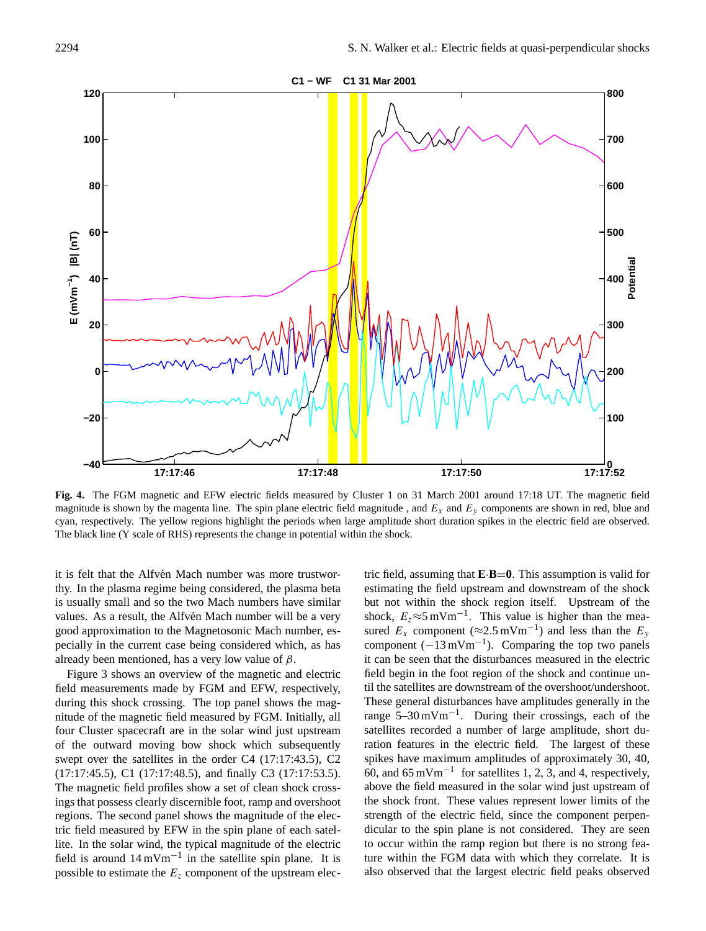![](_page_3_Figure_1.jpeg)

**Fig. 4.** The FGM magnetic and EFW electric fields measured by Cluster 1 on 31 March 2001 around 17:18 UT. The magnetic field magnitude is shown by the magenta line. The spin plane electric field magnitude, and  $E_x$  and  $E_y$  components are shown in red, blue and cyan, respectively. The yellow regions highlight the periods when large amplitude short duration spikes in the electric field are observed. The black line (Y scale of RHS) represents the change in potential within the shock.

it is felt that the Alfvén Mach number was more trustworthy. In the plasma regime being considered, the plasma beta is usually small and so the two Mach numbers have similar values. As a result, the Alfvén Mach number will be a very good approximation to the Magnetosonic Mach number, especially in the current case being considered which, as has already been mentioned, has a very low value of  $\beta$ .

Figure 3 shows an overview of the magnetic and electric field measurements made by FGM and EFW, respectively, during this shock crossing. The top panel shows the magnitude of the magnetic field measured by FGM. Initially, all four Cluster spacecraft are in the solar wind just upstream of the outward moving bow shock which subsequently swept over the satellites in the order C4 (17:17:43.5), C2 (17:17:45.5), C1 (17:17:48.5), and finally C3 (17:17:53.5). The magnetic field profiles show a set of clean shock crossings that possess clearly discernible foot, ramp and overshoot regions. The second panel shows the magnitude of the electric field measured by EFW in the spin plane of each satellite. In the solar wind, the typical magnitude of the electric field is around 14 mVm−<sup>1</sup> in the satellite spin plane. It is possible to estimate the  $E<sub>z</sub>$  component of the upstream electric field, assuming that **E**·**B**=**0**. This assumption is valid for estimating the field upstream and downstream of the shock but not within the shock region itself. Upstream of the shock,  $E_z \approx 5 \text{ mV m}^{-1}$ . This value is higher than the measured  $E_x$  component (≈2.5 mVm<sup>-1</sup>) and less than the  $E_y$ component  $(-13 \text{ mVm}^{-1})$ . Comparing the top two panels it can be seen that the disturbances measured in the electric field begin in the foot region of the shock and continue until the satellites are downstream of the overshoot/undershoot. These general disturbances have amplitudes generally in the range 5–30 mVm−<sup>1</sup> . During their crossings, each of the satellites recorded a number of large amplitude, short duration features in the electric field. The largest of these spikes have maximum amplitudes of approximately 30, 40, 60, and  $65 \text{ mV m}^{-1}$  for satellites 1, 2, 3, and 4, respectively, above the field measured in the solar wind just upstream of the shock front. These values represent lower limits of the strength of the electric field, since the component perpendicular to the spin plane is not considered. They are seen to occur within the ramp region but there is no strong feature within the FGM data with which they correlate. It is also observed that the largest electric field peaks observed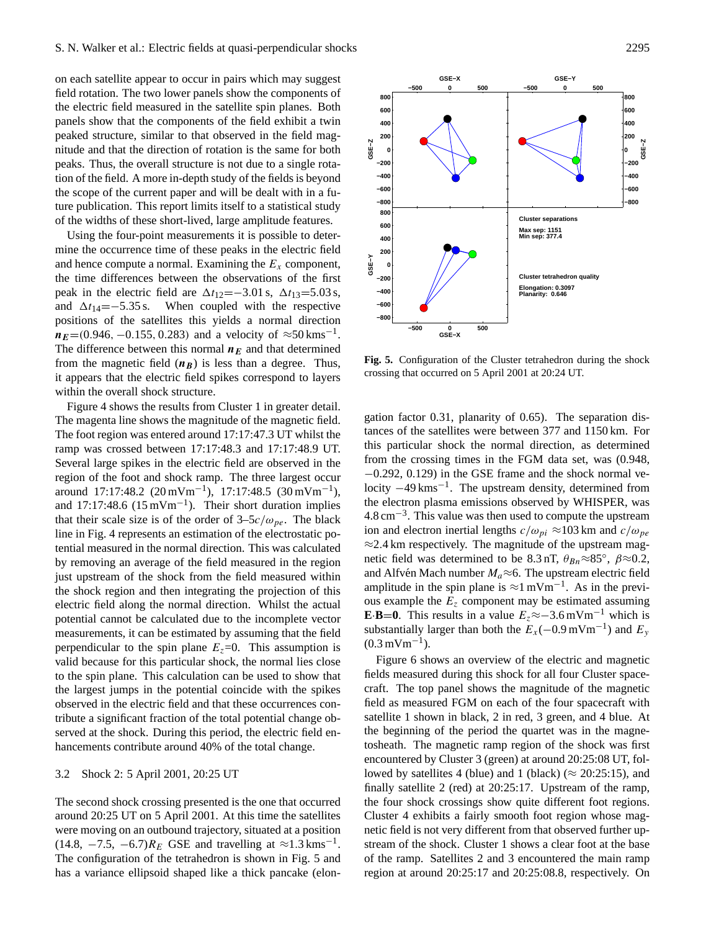on each satellite appear to occur in pairs which may suggest field rotation. The two lower panels show the components of the electric field measured in the satellite spin planes. Both panels show that the components of the field exhibit a twin peaked structure, similar to that observed in the field magnitude and that the direction of rotation is the same for both peaks. Thus, the overall structure is not due to a single rotation of the field. A more in-depth study of the fields is beyond the scope of the current paper and will be dealt with in a future publication. This report limits itself to a statistical study of the widths of these short-lived, large amplitude features.

Using the four-point measurements it is possible to determine the occurrence time of these peaks in the electric field and hence compute a normal. Examining the  $E<sub>x</sub>$  component, the time differences between the observations of the first peak in the electric field are  $\Delta t_{12}$ =−3.01 s,  $\Delta t_{13}$ =5.03 s, and  $\Delta t_{14}=-5.35$  s. When coupled with the respective positions of the satellites this yields a normal direction  $n_E$ =(0.946, -0.155, 0.283) and a velocity of ≈50 kms<sup>-1</sup>. The difference between this normal  $n_E$  and that determined from the magnetic field  $(n_B)$  is less than a degree. Thus, it appears that the electric field spikes correspond to layers within the overall shock structure.

Figure 4 shows the results from Cluster 1 in greater detail. The magenta line shows the magnitude of the magnetic field. The foot region was entered around 17:17:47.3 UT whilst the ramp was crossed between 17:17:48.3 and 17:17:48.9 UT. Several large spikes in the electric field are observed in the region of the foot and shock ramp. The three largest occur around 17:17:48.2  $(20 \text{ mVm}^{-1})$ , 17:17:48.5  $(30 \text{ mVm}^{-1})$ , and 17:17:48.6  $(15 \text{ mVm}^{-1})$ . Their short duration implies that their scale size is of the order of  $3-5c/\omega_{pe}$ . The black line in Fig. 4 represents an estimation of the electrostatic potential measured in the normal direction. This was calculated by removing an average of the field measured in the region just upstream of the shock from the field measured within the shock region and then integrating the projection of this electric field along the normal direction. Whilst the actual potential cannot be calculated due to the incomplete vector measurements, it can be estimated by assuming that the field perpendicular to the spin plane  $E_z=0$ . This assumption is valid because for this particular shock, the normal lies close to the spin plane. This calculation can be used to show that the largest jumps in the potential coincide with the spikes observed in the electric field and that these occurrences contribute a significant fraction of the total potential change observed at the shock. During this period, the electric field enhancements contribute around 40% of the total change.

#### 3.2 Shock 2: 5 April 2001, 20:25 UT

The second shock crossing presented is the one that occurred around 20:25 UT on 5 April 2001. At this time the satellites were moving on an outbound trajectory, situated at a position (14.8,  $-7.5$ ,  $-6.7$ ) $R_E$  GSE and travelling at  $\approx 1.3$  kms<sup>-1</sup>. The configuration of the tetrahedron is shown in Fig. 5 and has a variance ellipsoid shaped like a thick pancake (elon-

![](_page_4_Figure_6.jpeg)

gation factor 0.31, planarity of 0.65). The separation distances of the satellites were between 377 and 1150 km. For this particular shock the normal direction, as determined from the crossing times in the FGM data set, was (0.948, −0.292, 0.129) in the GSE frame and the shock normal velocity  $-49$  kms<sup>-1</sup>. The upstream density, determined from the electron plasma emissions observed by WHISPER, was 4.8 cm−<sup>3</sup> . This value was then used to compute the upstream ion and electron inertial lengths  $c/\omega_{pi} \approx 103$  km and  $c/\omega_{pe}$  $\approx$  2.4 km respectively. The magnitude of the upstream magnetic field was determined to be 8.3 nT,  $\theta_{Bn} \approx 85^\circ$ ,  $\beta \approx 0.2$ , and Alfvén Mach number  $M_a \approx 6$ . The upstream electric field amplitude in the spin plane is  $\approx$ 1 mVm<sup>-1</sup>. As in the previous example the  $E<sub>z</sub>$  component may be estimated assuming **E**·**B**=0. This results in a value  $E_z \approx -3.6 \text{ mV m}^{-1}$  which is substantially larger than both the  $E_x$  (-0.9 mVm<sup>-1</sup>) and  $E_y$  $(0.3 \,\mathrm{mVm}^{-1})$ .

Figure 6 shows an overview of the electric and magnetic fields measured during this shock for all four Cluster spacecraft. The top panel shows the magnitude of the magnetic field as measured FGM on each of the four spacecraft with satellite 1 shown in black, 2 in red, 3 green, and 4 blue. At the beginning of the period the quartet was in the magnetosheath. The magnetic ramp region of the shock was first encountered by Cluster 3 (green) at around 20:25:08 UT, followed by satellites 4 (blue) and 1 (black) ( $\approx$  20:25:15), and finally satellite 2 (red) at 20:25:17. Upstream of the ramp, the four shock crossings show quite different foot regions. Cluster 4 exhibits a fairly smooth foot region whose magnetic field is not very different from that observed further upstream of the shock. Cluster 1 shows a clear foot at the base of the ramp. Satellites 2 and 3 encountered the main ramp region at around 20:25:17 and 20:25:08.8, respectively. On

![](_page_4_Figure_9.jpeg)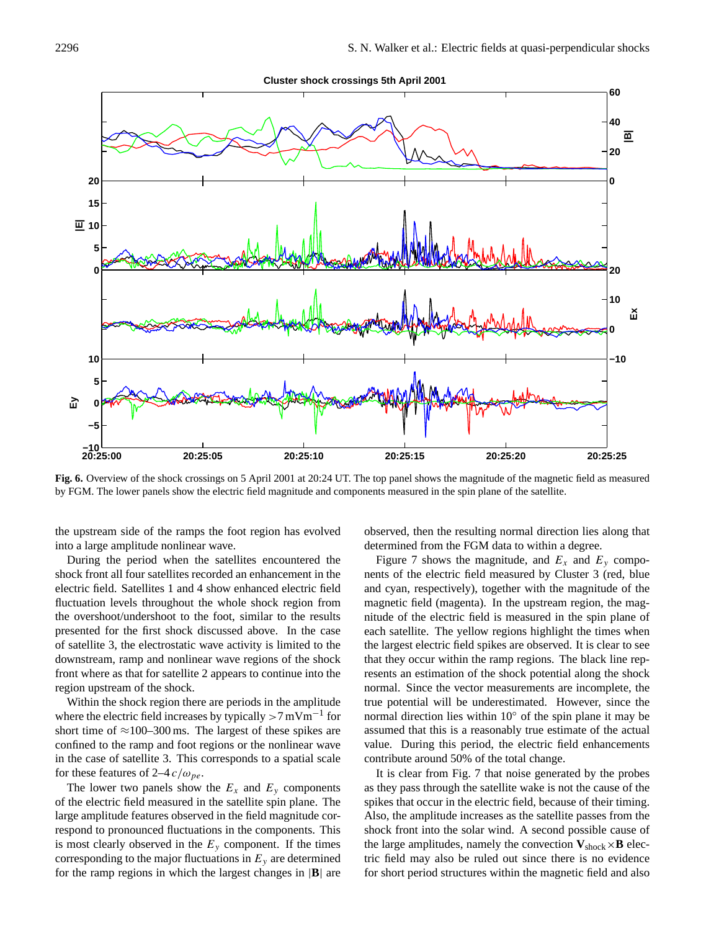![](_page_5_Figure_1.jpeg)

**Fig. 6.** Overview of the shock crossings on 5 April 2001 at 20:24 UT. The top panel shows the magnitude of the magnetic field as measured by FGM. The lower panels show the electric field magnitude and components measured in the spin plane of the satellite.

the upstream side of the ramps the foot region has evolved into a large amplitude nonlinear wave.

During the period when the satellites encountered the shock front all four satellites recorded an enhancement in the electric field. Satellites 1 and 4 show enhanced electric field fluctuation levels throughout the whole shock region from the overshoot/undershoot to the foot, similar to the results presented for the first shock discussed above. In the case of satellite 3, the electrostatic wave activity is limited to the downstream, ramp and nonlinear wave regions of the shock front where as that for satellite 2 appears to continue into the region upstream of the shock.

Within the shock region there are periods in the amplitude where the electric field increases by typically >7 mVm−<sup>1</sup> for short time of  $\approx$ 100–300 ms. The largest of these spikes are confined to the ramp and foot regions or the nonlinear wave in the case of satellite 3. This corresponds to a spatial scale for these features of 2–4  $c/\omega_{pe}$ .

The lower two panels show the  $E_x$  and  $E_y$  components of the electric field measured in the satellite spin plane. The large amplitude features observed in the field magnitude correspond to pronounced fluctuations in the components. This is most clearly observed in the  $E_y$  component. If the times corresponding to the major fluctuations in  $E_y$  are determined for the ramp regions in which the largest changes in |**B**| are

observed, then the resulting normal direction lies along that determined from the FGM data to within a degree.

Figure 7 shows the magnitude, and  $E_x$  and  $E_y$  components of the electric field measured by Cluster 3 (red, blue and cyan, respectively), together with the magnitude of the magnetic field (magenta). In the upstream region, the magnitude of the electric field is measured in the spin plane of each satellite. The yellow regions highlight the times when the largest electric field spikes are observed. It is clear to see that they occur within the ramp regions. The black line represents an estimation of the shock potential along the shock normal. Since the vector measurements are incomplete, the true potential will be underestimated. However, since the normal direction lies within 10◦ of the spin plane it may be assumed that this is a reasonably true estimate of the actual value. During this period, the electric field enhancements contribute around 50% of the total change.

It is clear from Fig. 7 that noise generated by the probes as they pass through the satellite wake is not the cause of the spikes that occur in the electric field, because of their timing. Also, the amplitude increases as the satellite passes from the shock front into the solar wind. A second possible cause of the large amplitudes, namely the convection  $V_{\text{shock}} \times B$  electric field may also be ruled out since there is no evidence for short period structures within the magnetic field and also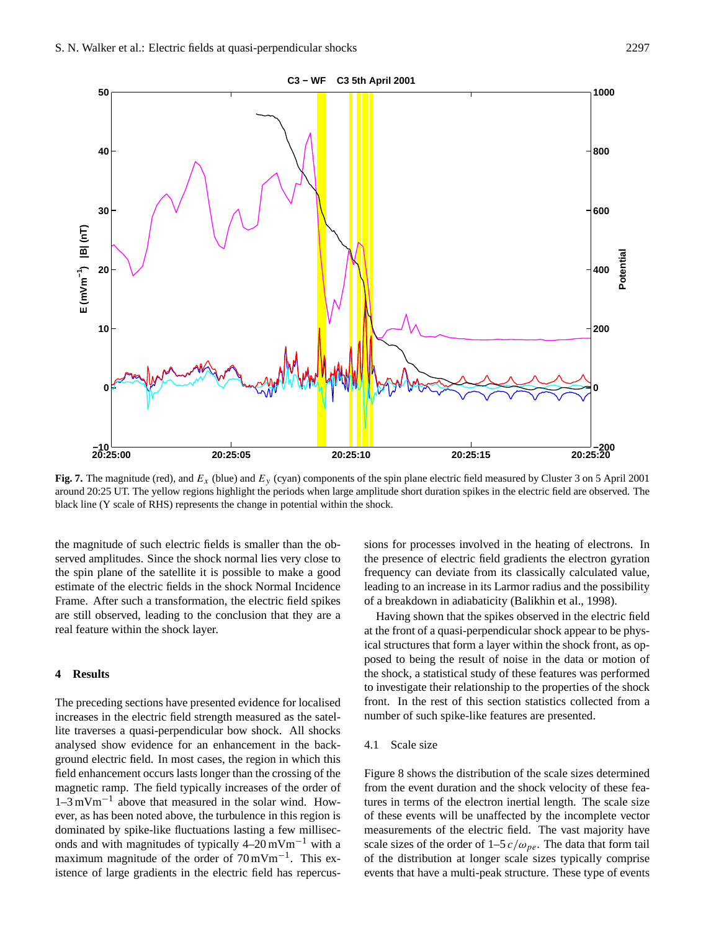![](_page_6_Figure_1.jpeg)

**Fig. 7.** The magnitude (red), and  $E_x$  (blue) and  $E_y$  (cyan) components of the spin plane electric field measured by Cluster 3 on 5 April 2001 around 20:25 UT. The yellow regions highlight the periods when large amplitude short duration spikes in the electric field are observed. The black line (Y scale of RHS) represents the change in potential within the shock.

the magnitude of such electric fields is smaller than the observed amplitudes. Since the shock normal lies very close to the spin plane of the satellite it is possible to make a good estimate of the electric fields in the shock Normal Incidence Frame. After such a transformation, the electric field spikes are still observed, leading to the conclusion that they are a real feature within the shock layer.

#### **4 Results**

The preceding sections have presented evidence for localised increases in the electric field strength measured as the satellite traverses a quasi-perpendicular bow shock. All shocks analysed show evidence for an enhancement in the background electric field. In most cases, the region in which this field enhancement occurs lasts longer than the crossing of the magnetic ramp. The field typically increases of the order of 1–3 mVm−<sup>1</sup> above that measured in the solar wind. However, as has been noted above, the turbulence in this region is dominated by spike-like fluctuations lasting a few milliseconds and with magnitudes of typically 4–20 mVm−<sup>1</sup> with a maximum magnitude of the order of 70 mVm<sup>-1</sup>. This existence of large gradients in the electric field has repercussions for processes involved in the heating of electrons. In the presence of electric field gradients the electron gyration frequency can deviate from its classically calculated value, leading to an increase in its Larmor radius and the possibility of a breakdown in adiabaticity (Balikhin et al., 1998).

Having shown that the spikes observed in the electric field at the front of a quasi-perpendicular shock appear to be physical structures that form a layer within the shock front, as opposed to being the result of noise in the data or motion of the shock, a statistical study of these features was performed to investigate their relationship to the properties of the shock front. In the rest of this section statistics collected from a number of such spike-like features are presented.

#### 4.1 Scale size

Figure 8 shows the distribution of the scale sizes determined from the event duration and the shock velocity of these features in terms of the electron inertial length. The scale size of these events will be unaffected by the incomplete vector measurements of the electric field. The vast majority have scale sizes of the order of  $1-5 c/\omega_{pe}$ . The data that form tail of the distribution at longer scale sizes typically comprise events that have a multi-peak structure. These type of events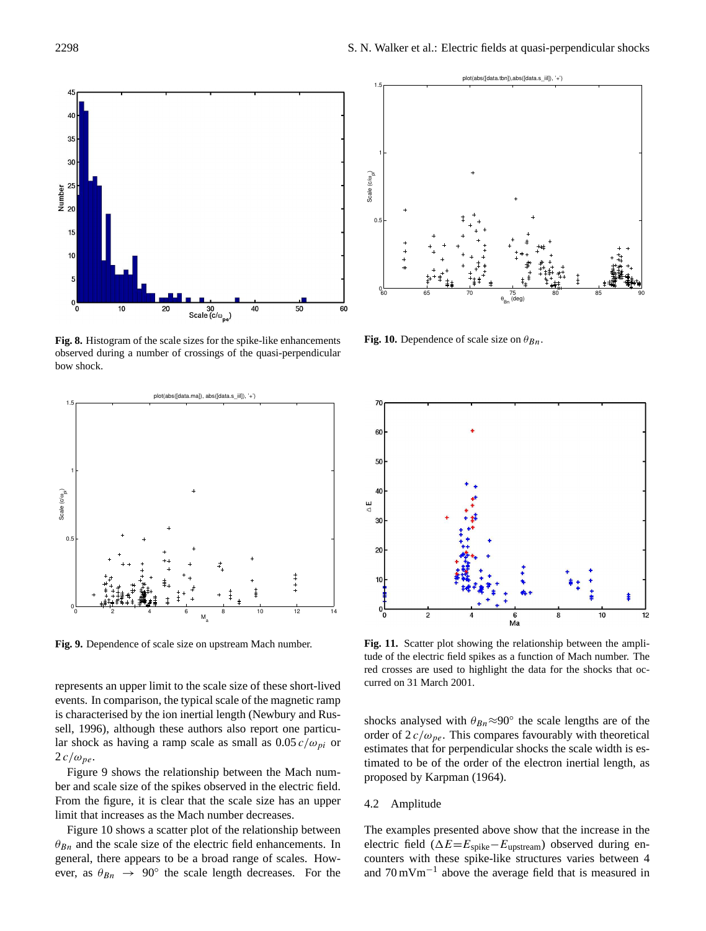![](_page_7_Figure_1.jpeg)

**Fig. 8.** Histogram of the scale sizes for the spike-like enhancements observed during a number of crossings of the quasi-perpendicular bow shock.

![](_page_7_Figure_3.jpeg)

**Fig. 9.** Dependence of scale size on upstream Mach number.

represents an upper limit to the scale size of these short-lived events. In comparison, the typical scale of the magnetic ramp is characterised by the ion inertial length (Newbury and Russell, 1996), although these authors also report one particular shock as having a ramp scale as small as  $0.05 c/\omega_{pi}$  or  $2 c/\omega_{pe}$ .

Figure 9 shows the relationship between the Mach number and scale size of the spikes observed in the electric field. From the figure, it is clear that the scale size has an upper limit that increases as the Mach number decreases.

Figure 10 shows a scatter plot of the relationship between  $\theta_{Bn}$  and the scale size of the electric field enhancements. In general, there appears to be a broad range of scales. However, as  $\theta_{Bn} \rightarrow 90^{\circ}$  the scale length decreases. For the

![](_page_7_Figure_8.jpeg)

**Fig. 10.** Dependence of scale size on  $\theta_{Bn}$ .

![](_page_7_Figure_10.jpeg)

Fig. 11. Scatter plot showing the relationship between the amplitude of the electric field spikes as a function of Mach number. The red crosses are used to highlight the data for the shocks that occurred on 31 March 2001.

shocks analysed with  $\theta_{Bn} \approx 90^\circ$  the scale lengths are of the order of  $2 c/\omega_{pe}$ . This compares favourably with theoretical estimates that for perpendicular shocks the scale width is estimated to be of the order of the electron inertial length, as proposed by Karpman (1964).

#### 4.2 Amplitude

The examples presented above show that the increase in the electric field ( $\Delta E = E_{spike} - E_{upstream}$ ) observed during encounters with these spike-like structures varies between 4 and 70 mVm−<sup>1</sup> above the average field that is measured in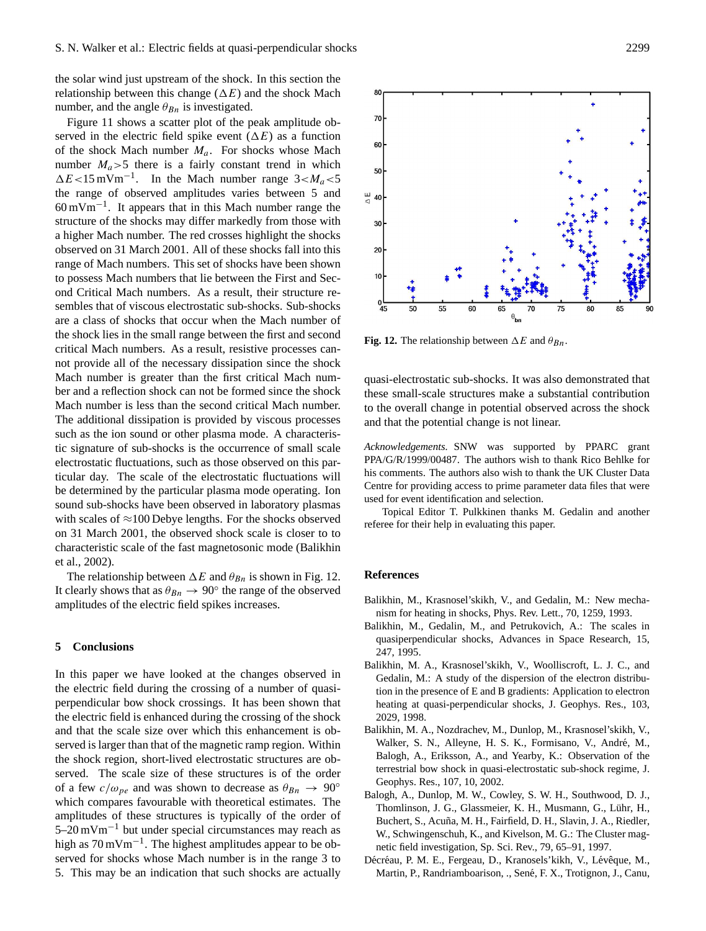the solar wind just upstream of the shock. In this section the relationship between this change  $(\Delta E)$  and the shock Mach number, and the angle  $\theta_{Bn}$  is investigated.

Figure 11 shows a scatter plot of the peak amplitude observed in the electric field spike event  $(\Delta E)$  as a function of the shock Mach number  $M_a$ . For shocks whose Mach number  $M_a > 5$  there is a fairly constant trend in which  $\Delta E$ <15 mVm<sup>-1</sup>. In the Mach number range 3< $M_a$ <5 the range of observed amplitudes varies between 5 and 60 mVm−<sup>1</sup> . It appears that in this Mach number range the structure of the shocks may differ markedly from those with a higher Mach number. The red crosses highlight the shocks observed on 31 March 2001. All of these shocks fall into this range of Mach numbers. This set of shocks have been shown to possess Mach numbers that lie between the First and Second Critical Mach numbers. As a result, their structure resembles that of viscous electrostatic sub-shocks. Sub-shocks are a class of shocks that occur when the Mach number of the shock lies in the small range between the first and second critical Mach numbers. As a result, resistive processes cannot provide all of the necessary dissipation since the shock Mach number is greater than the first critical Mach number and a reflection shock can not be formed since the shock Mach number is less than the second critical Mach number. The additional dissipation is provided by viscous processes such as the ion sound or other plasma mode. A characteristic signature of sub-shocks is the occurrence of small scale electrostatic fluctuations, such as those observed on this particular day. The scale of the electrostatic fluctuations will be determined by the particular plasma mode operating. Ion sound sub-shocks have been observed in laboratory plasmas with scales of  $\approx$ 100 Debye lengths. For the shocks observed on 31 March 2001, the observed shock scale is closer to to characteristic scale of the fast magnetosonic mode (Balikhin et al., 2002).

The relationship between  $\Delta E$  and  $\theta_{Bn}$  is shown in Fig. 12. It clearly shows that as  $\theta_{Bn} \rightarrow 90^{\circ}$  the range of the observed amplitudes of the electric field spikes increases.

#### **5 Conclusions**

In this paper we have looked at the changes observed in the electric field during the crossing of a number of quasiperpendicular bow shock crossings. It has been shown that the electric field is enhanced during the crossing of the shock and that the scale size over which this enhancement is observed is larger than that of the magnetic ramp region. Within the shock region, short-lived electrostatic structures are observed. The scale size of these structures is of the order of a few  $c/\omega_{pe}$  and was shown to decrease as  $\theta_{Bn} \rightarrow 90^{\circ}$ which compares favourable with theoretical estimates. The amplitudes of these structures is typically of the order of 5–20 mVm−<sup>1</sup> but under special circumstances may reach as high as 70 mVm<sup>-1</sup>. The highest amplitudes appear to be observed for shocks whose Mach number is in the range 3 to 5. This may be an indication that such shocks are actually

![](_page_8_Figure_6.jpeg)

**Fig. 12.** The relationship between  $\Delta E$  and  $\theta_{Bn}$ .

quasi-electrostatic sub-shocks. It was also demonstrated that these small-scale structures make a substantial contribution to the overall change in potential observed across the shock and that the potential change is not linear.

*Acknowledgements.* SNW was supported by PPARC grant PPA/G/R/1999/00487. The authors wish to thank Rico Behlke for his comments. The authors also wish to thank the UK Cluster Data Centre for providing access to prime parameter data files that were used for event identification and selection.

Topical Editor T. Pulkkinen thanks M. Gedalin and another referee for their help in evaluating this paper.

#### **References**

- Balikhin, M., Krasnosel'skikh, V., and Gedalin, M.: New mechanism for heating in shocks, Phys. Rev. Lett., 70, 1259, 1993.
- Balikhin, M., Gedalin, M., and Petrukovich, A.: The scales in quasiperpendicular shocks, Advances in Space Research, 15, 247, 1995.
- Balikhin, M. A., Krasnosel'skikh, V., Woolliscroft, L. J. C., and Gedalin, M.: A study of the dispersion of the electron distribution in the presence of E and B gradients: Application to electron heating at quasi-perpendicular shocks, J. Geophys. Res., 103, 2029, 1998.
- Balikhin, M. A., Nozdrachev, M., Dunlop, M., Krasnosel'skikh, V., Walker, S. N., Alleyne, H. S. K., Formisano, V., André, M., Balogh, A., Eriksson, A., and Yearby, K.: Observation of the terrestrial bow shock in quasi-electrostatic sub-shock regime, J. Geophys. Res., 107, 10, 2002.
- Balogh, A., Dunlop, M. W., Cowley, S. W. H., Southwood, D. J., Thomlinson, J. G., Glassmeier, K. H., Musmann, G., Luhr, H., ¨ Buchert, S., Acuña, M. H., Fairfield, D. H., Slavin, J. A., Riedler, W., Schwingenschuh, K., and Kivelson, M. G.: The Cluster magnetic field investigation, Sp. Sci. Rev., 79, 65–91, 1997.
- Décréau, P. M. E., Fergeau, D., Kranosels'kikh, V., Lévêque, M., Martin, P., Randriamboarison, ., Sené, F. X., Trotignon, J., Canu,